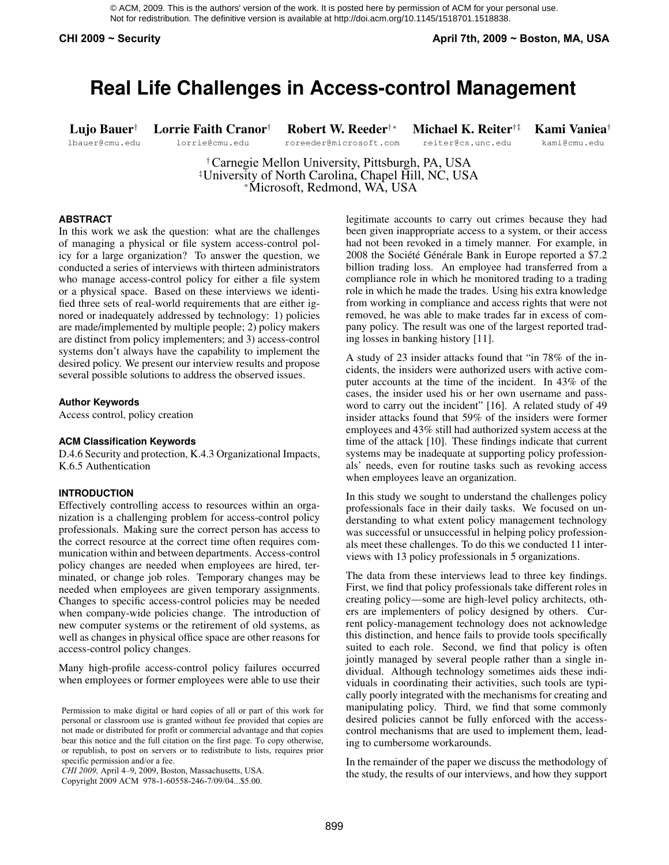Not for redistribution. The definitive version is available at http://doi.acm.org/10.1145/1518701.1518838.

# **Real Life Challenges in Access-control Management**

Lujo Bauer† Lorrie Faith Cranor† Robert W. Reeder†\* Michael K. Reiter†‡

Kami Vaniea†

lbauer@cmu.edu lorrie@cmu.edu roreeder@microsoft.com reiter@cs.unc.edu kami@cmu.edu

†Carnegie Mellon University, Pittsburgh, PA, USA ‡University of North Carolina, Chapel Hill, NC, USA <sup>∗</sup>Microsoft, Redmond, WA, USA

#### **ABSTRACT**

In this work we ask the question: what are the challenges of managing a physical or file system access-control policy for a large organization? To answer the question, we conducted a series of interviews with thirteen administrators who manage access-control policy for either a file system or a physical space. Based on these interviews we identified three sets of real-world requirements that are either ignored or inadequately addressed by technology: 1) policies are made/implemented by multiple people; 2) policy makers are distinct from policy implementers; and 3) access-control systems don't always have the capability to implement the desired policy. We present our interview results and propose several possible solutions to address the observed issues.

#### **Author Keywords**

Access control, policy creation

#### **ACM Classification Keywords**

D.4.6 Security and protection, K.4.3 Organizational Impacts, K.6.5 Authentication

#### **INTRODUCTION**

Effectively controlling access to resources within an organization is a challenging problem for access-control policy professionals. Making sure the correct person has access to the correct resource at the correct time often requires communication within and between departments. Access-control policy changes are needed when employees are hired, terminated, or change job roles. Temporary changes may be needed when employees are given temporary assignments. Changes to specific access-control policies may be needed when company-wide policies change. The introduction of new computer systems or the retirement of old systems, as well as changes in physical office space are other reasons for access-control policy changes.

Many high-profile access-control policy failures occurred when employees or former employees were able to use their

*CHI 2009,* April 4–9, 2009, Boston, Massachusetts, USA.

Copyright 2009 ACM 978-1-60558-246-7/09/04...\$5.00.

legitimate accounts to carry out crimes because they had been given inappropriate access to a system, or their access had not been revoked in a timely manner. For example, in 2008 the Société Générale Bank in Europe reported a \$7.2 billion trading loss. An employee had transferred from a compliance role in which he monitored trading to a trading role in which he made the trades. Using his extra knowledge from working in compliance and access rights that were not removed, he was able to make trades far in excess of company policy. The result was one of the largest reported trading losses in banking history [11].

A study of 23 insider attacks found that "in 78% of the incidents, the insiders were authorized users with active computer accounts at the time of the incident. In 43% of the cases, the insider used his or her own username and password to carry out the incident" [16]. A related study of 49 insider attacks found that 59% of the insiders were former employees and 43% still had authorized system access at the time of the attack [10]. These findings indicate that current systems may be inadequate at supporting policy professionals' needs, even for routine tasks such as revoking access when employees leave an organization.

In this study we sought to understand the challenges policy professionals face in their daily tasks. We focused on understanding to what extent policy management technology was successful or unsuccessful in helping policy professionals meet these challenges. To do this we conducted 11 interviews with 13 policy professionals in 5 organizations.

The data from these interviews lead to three key findings. First, we find that policy professionals take different roles in creating policy—some are high-level policy architects, others are implementers of policy designed by others. Current policy-management technology does not acknowledge this distinction, and hence fails to provide tools specifically suited to each role. Second, we find that policy is often jointly managed by several people rather than a single individual. Although technology sometimes aids these individuals in coordinating their activities, such tools are typically poorly integrated with the mechanisms for creating and manipulating policy. Third, we find that some commonly desired policies cannot be fully enforced with the accesscontrol mechanisms that are used to implement them, leading to cumbersome workarounds. ACM axes the media of the authors in the authors in the authors in the authors in the authors in the authors in the authors in the authors in the authors in the authors in the authors in the authors in the authors in the

In the remainder of the paper we discuss the methodology of the study, the results of our interviews, and how they support

Permission to make digital or hard copies of all or part of this work for personal or classroom use is granted without fee provided that copies are not made or distributed for profit or commercial advantage and that copies bear this notice and the full citation on the first page. To copy otherwise, or republish, to post on servers or to redistribute to lists, requires prior specific permission and/or a fee.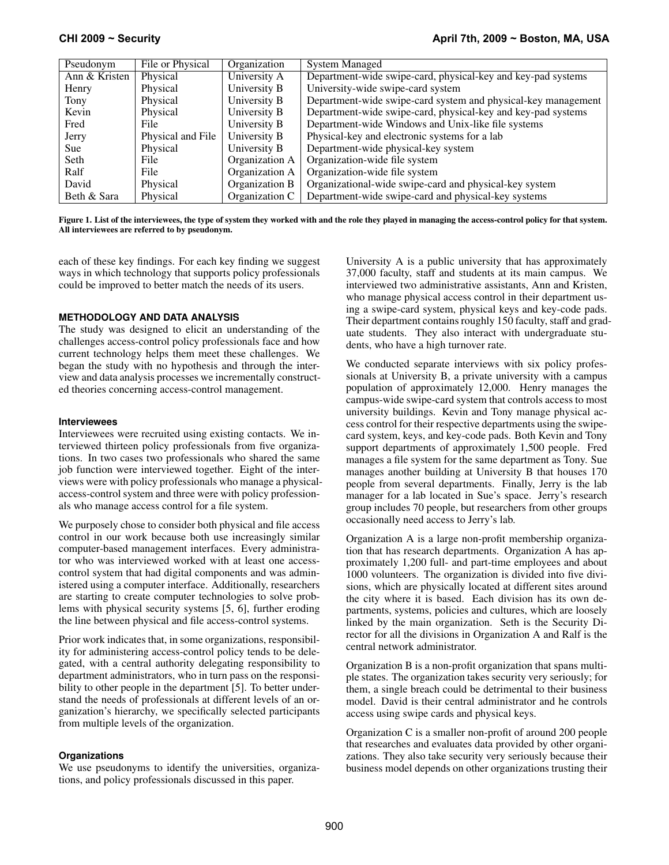| Pseudonym     | File or Physical  | Organization   | <b>System Managed</b>                                         |
|---------------|-------------------|----------------|---------------------------------------------------------------|
| Ann & Kristen | Physical          | University A   | Department-wide swipe-card, physical-key and key-pad systems  |
| Henry         | Physical          | University B   | University-wide swipe-card system                             |
| Tony          | Physical          | University B   | Department-wide swipe-card system and physical-key management |
| Kevin         | Physical          | University B   | Department-wide swipe-card, physical-key and key-pad systems  |
| Fred          | File              | University B   | Department-wide Windows and Unix-like file systems            |
| Jerry         | Physical and File | University B   | Physical-key and electronic systems for a lab                 |
| <b>Sue</b>    | Physical          | University B   | Department-wide physical-key system                           |
| <b>Seth</b>   | File              | Organization A | Organization-wide file system                                 |
| Ralf          | File              | Organization A | Organization-wide file system                                 |
| David         | Physical          | Organization B | Organizational-wide swipe-card and physical-key system        |
| Beth & Sara   | Physical          | Organization C | Department-wide swipe-card and physical-key systems           |

Figure 1. List of the interviewees, the type of system they worked with and the role they played in managing the access-control policy for that system. All interviewees are referred to by pseudonym.

each of these key findings. For each key finding we suggest ways in which technology that supports policy professionals could be improved to better match the needs of its users.

#### **METHODOLOGY AND DATA ANALYSIS**

The study was designed to elicit an understanding of the challenges access-control policy professionals face and how current technology helps them meet these challenges. We began the study with no hypothesis and through the interview and data analysis processes we incrementally constructed theories concerning access-control management.

#### **Interviewees**

Interviewees were recruited using existing contacts. We interviewed thirteen policy professionals from five organizations. In two cases two professionals who shared the same job function were interviewed together. Eight of the interviews were with policy professionals who manage a physicalaccess-control system and three were with policy professionals who manage access control for a file system.

We purposely chose to consider both physical and file access control in our work because both use increasingly similar computer-based management interfaces. Every administrator who was interviewed worked with at least one accesscontrol system that had digital components and was administered using a computer interface. Additionally, researchers are starting to create computer technologies to solve problems with physical security systems [5, 6], further eroding the line between physical and file access-control systems.

Prior work indicates that, in some organizations, responsibility for administering access-control policy tends to be delegated, with a central authority delegating responsibility to department administrators, who in turn pass on the responsibility to other people in the department [5]. To better understand the needs of professionals at different levels of an organization's hierarchy, we specifically selected participants from multiple levels of the organization.

#### **Organizations**

We use pseudonyms to identify the universities, organizations, and policy professionals discussed in this paper.

University A is a public university that has approximately 37,000 faculty, staff and students at its main campus. We interviewed two administrative assistants, Ann and Kristen, who manage physical access control in their department using a swipe-card system, physical keys and key-code pads. Their department contains roughly 150 faculty, staff and graduate students. They also interact with undergraduate students, who have a high turnover rate.

We conducted separate interviews with six policy professionals at University B, a private university with a campus population of approximately 12,000. Henry manages the campus-wide swipe-card system that controls access to most university buildings. Kevin and Tony manage physical access control for their respective departments using the swipecard system, keys, and key-code pads. Both Kevin and Tony support departments of approximately 1,500 people. Fred manages a file system for the same department as Tony. Sue manages another building at University B that houses 170 people from several departments. Finally, Jerry is the lab manager for a lab located in Sue's space. Jerry's research group includes 70 people, but researchers from other groups occasionally need access to Jerry's lab.

Organization A is a large non-profit membership organization that has research departments. Organization A has approximately 1,200 full- and part-time employees and about 1000 volunteers. The organization is divided into five divisions, which are physically located at different sites around the city where it is based. Each division has its own departments, systems, policies and cultures, which are loosely linked by the main organization. Seth is the Security Director for all the divisions in Organization A and Ralf is the central network administrator.

Organization B is a non-profit organization that spans multiple states. The organization takes security very seriously; for them, a single breach could be detrimental to their business model. David is their central administrator and he controls access using swipe cards and physical keys.

Organization C is a smaller non-profit of around 200 people that researches and evaluates data provided by other organizations. They also take security very seriously because their business model depends on other organizations trusting their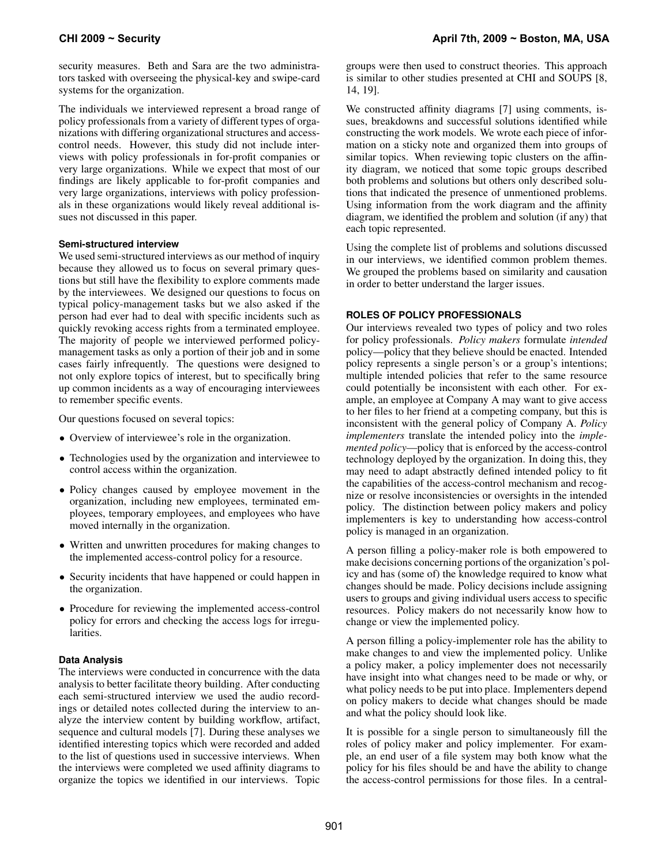security measures. Beth and Sara are the two administrators tasked with overseeing the physical-key and swipe-card systems for the organization.

The individuals we interviewed represent a broad range of policy professionals from a variety of different types of organizations with differing organizational structures and accesscontrol needs. However, this study did not include interviews with policy professionals in for-profit companies or very large organizations. While we expect that most of our findings are likely applicable to for-profit companies and very large organizations, interviews with policy professionals in these organizations would likely reveal additional issues not discussed in this paper.

#### **Semi-structured interview**

We used semi-structured interviews as our method of inquiry because they allowed us to focus on several primary questions but still have the flexibility to explore comments made by the interviewees. We designed our questions to focus on typical policy-management tasks but we also asked if the person had ever had to deal with specific incidents such as quickly revoking access rights from a terminated employee. The majority of people we interviewed performed policymanagement tasks as only a portion of their job and in some cases fairly infrequently. The questions were designed to not only explore topics of interest, but to specifically bring up common incidents as a way of encouraging interviewees to remember specific events.

Our questions focused on several topics:

- Overview of interviewee's role in the organization.
- Technologies used by the organization and interviewee to control access within the organization.
- Policy changes caused by employee movement in the organization, including new employees, terminated employees, temporary employees, and employees who have moved internally in the organization.
- Written and unwritten procedures for making changes to the implemented access-control policy for a resource.
- Security incidents that have happened or could happen in the organization.
- Procedure for reviewing the implemented access-control policy for errors and checking the access logs for irregularities.

#### **Data Analysis**

The interviews were conducted in concurrence with the data analysis to better facilitate theory building. After conducting each semi-structured interview we used the audio recordings or detailed notes collected during the interview to analyze the interview content by building workflow, artifact, sequence and cultural models [7]. During these analyses we identified interesting topics which were recorded and added to the list of questions used in successive interviews. When the interviews were completed we used affinity diagrams to organize the topics we identified in our interviews. Topic groups were then used to construct theories. This approach is similar to other studies presented at CHI and SOUPS [8, 14, 19].

We constructed affinity diagrams [7] using comments, issues, breakdowns and successful solutions identified while constructing the work models. We wrote each piece of information on a sticky note and organized them into groups of similar topics. When reviewing topic clusters on the affinity diagram, we noticed that some topic groups described both problems and solutions but others only described solutions that indicated the presence of unmentioned problems. Using information from the work diagram and the affinity diagram, we identified the problem and solution (if any) that each topic represented.

Using the complete list of problems and solutions discussed in our interviews, we identified common problem themes. We grouped the problems based on similarity and causation in order to better understand the larger issues.

#### **ROLES OF POLICY PROFESSIONALS**

Our interviews revealed two types of policy and two roles for policy professionals. *Policy makers* formulate *intended* policy—policy that they believe should be enacted. Intended policy represents a single person's or a group's intentions; multiple intended policies that refer to the same resource could potentially be inconsistent with each other. For example, an employee at Company A may want to give access to her files to her friend at a competing company, but this is inconsistent with the general policy of Company A. *Policy implementers* translate the intended policy into the *implemented policy*—policy that is enforced by the access-control technology deployed by the organization. In doing this, they may need to adapt abstractly defined intended policy to fit the capabilities of the access-control mechanism and recognize or resolve inconsistencies or oversights in the intended policy. The distinction between policy makers and policy implementers is key to understanding how access-control policy is managed in an organization.

A person filling a policy-maker role is both empowered to make decisions concerning portions of the organization's policy and has (some of) the knowledge required to know what changes should be made. Policy decisions include assigning users to groups and giving individual users access to specific resources. Policy makers do not necessarily know how to change or view the implemented policy.

A person filling a policy-implementer role has the ability to make changes to and view the implemented policy. Unlike a policy maker, a policy implementer does not necessarily have insight into what changes need to be made or why, or what policy needs to be put into place. Implementers depend on policy makers to decide what changes should be made and what the policy should look like.

It is possible for a single person to simultaneously fill the roles of policy maker and policy implementer. For example, an end user of a file system may both know what the policy for his files should be and have the ability to change the access-control permissions for those files. In a central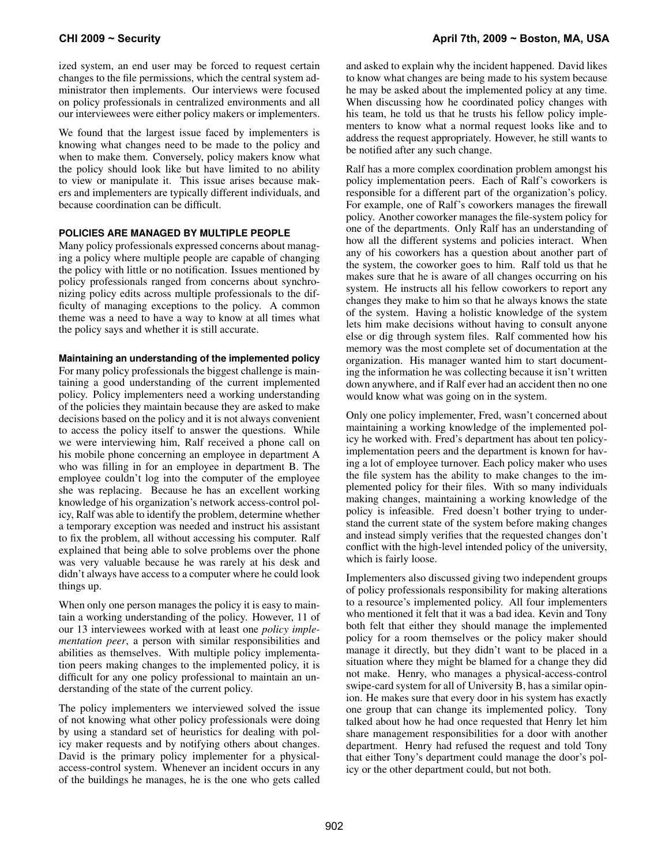ized system, an end user may be forced to request certain changes to the file permissions, which the central system administrator then implements. Our interviews were focused on policy professionals in centralized environments and all our interviewees were either policy makers or implementers.

We found that the largest issue faced by implementers is knowing what changes need to be made to the policy and when to make them. Conversely, policy makers know what the policy should look like but have limited to no ability to view or manipulate it. This issue arises because makers and implementers are typically different individuals, and because coordination can be difficult.

# **POLICIES ARE MANAGED BY MULTIPLE PEOPLE**

Many policy professionals expressed concerns about managing a policy where multiple people are capable of changing the policy with little or no notification. Issues mentioned by policy professionals ranged from concerns about synchronizing policy edits across multiple professionals to the difficulty of managing exceptions to the policy. A common theme was a need to have a way to know at all times what the policy says and whether it is still accurate.

#### **Maintaining an understanding of the implemented policy**

For many policy professionals the biggest challenge is maintaining a good understanding of the current implemented policy. Policy implementers need a working understanding of the policies they maintain because they are asked to make decisions based on the policy and it is not always convenient to access the policy itself to answer the questions. While we were interviewing him, Ralf received a phone call on his mobile phone concerning an employee in department A who was filling in for an employee in department B. The employee couldn't log into the computer of the employee she was replacing. Because he has an excellent working knowledge of his organization's network access-control policy, Ralf was able to identify the problem, determine whether a temporary exception was needed and instruct his assistant to fix the problem, all without accessing his computer. Ralf explained that being able to solve problems over the phone was very valuable because he was rarely at his desk and didn't always have access to a computer where he could look things up.

When only one person manages the policy it is easy to maintain a working understanding of the policy. However, 11 of our 13 interviewees worked with at least one *policy implementation peer*, a person with similar responsibilities and abilities as themselves. With multiple policy implementation peers making changes to the implemented policy, it is difficult for any one policy professional to maintain an understanding of the state of the current policy.

The policy implementers we interviewed solved the issue of not knowing what other policy professionals were doing by using a standard set of heuristics for dealing with policy maker requests and by notifying others about changes. David is the primary policy implementer for a physicalaccess-control system. Whenever an incident occurs in any of the buildings he manages, he is the one who gets called and asked to explain why the incident happened. David likes to know what changes are being made to his system because he may be asked about the implemented policy at any time. When discussing how he coordinated policy changes with his team, he told us that he trusts his fellow policy implementers to know what a normal request looks like and to address the request appropriately. However, he still wants to be notified after any such change.

Ralf has a more complex coordination problem amongst his policy implementation peers. Each of Ralf's coworkers is responsible for a different part of the organization's policy. For example, one of Ralf's coworkers manages the firewall policy. Another coworker manages the file-system policy for one of the departments. Only Ralf has an understanding of how all the different systems and policies interact. When any of his coworkers has a question about another part of the system, the coworker goes to him. Ralf told us that he makes sure that he is aware of all changes occurring on his system. He instructs all his fellow coworkers to report any changes they make to him so that he always knows the state of the system. Having a holistic knowledge of the system lets him make decisions without having to consult anyone else or dig through system files. Ralf commented how his memory was the most complete set of documentation at the organization. His manager wanted him to start documenting the information he was collecting because it isn't written down anywhere, and if Ralf ever had an accident then no one would know what was going on in the system.

Only one policy implementer, Fred, wasn't concerned about maintaining a working knowledge of the implemented policy he worked with. Fred's department has about ten policyimplementation peers and the department is known for having a lot of employee turnover. Each policy maker who uses the file system has the ability to make changes to the implemented policy for their files. With so many individuals making changes, maintaining a working knowledge of the policy is infeasible. Fred doesn't bother trying to understand the current state of the system before making changes and instead simply verifies that the requested changes don't conflict with the high-level intended policy of the university, which is fairly loose.

Implementers also discussed giving two independent groups of policy professionals responsibility for making alterations to a resource's implemented policy. All four implementers who mentioned it felt that it was a bad idea. Kevin and Tony both felt that either they should manage the implemented policy for a room themselves or the policy maker should manage it directly, but they didn't want to be placed in a situation where they might be blamed for a change they did not make. Henry, who manages a physical-access-control swipe-card system for all of University B, has a similar opinion. He makes sure that every door in his system has exactly one group that can change its implemented policy. Tony talked about how he had once requested that Henry let him share management responsibilities for a door with another department. Henry had refused the request and told Tony that either Tony's department could manage the door's policy or the other department could, but not both.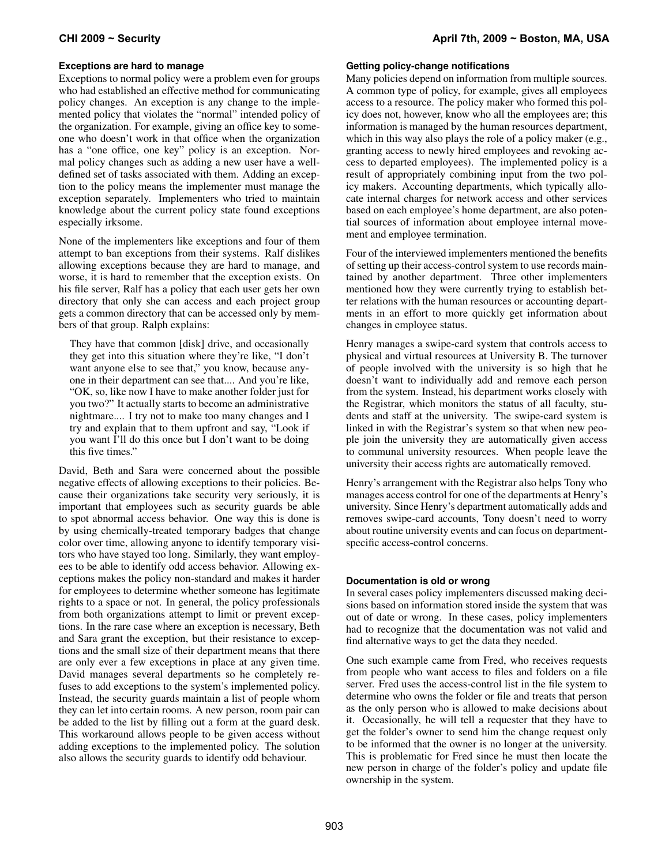#### **Exceptions are hard to manage**

Exceptions to normal policy were a problem even for groups who had established an effective method for communicating policy changes. An exception is any change to the implemented policy that violates the "normal" intended policy of the organization. For example, giving an office key to someone who doesn't work in that office when the organization has a "one office, one key" policy is an exception. Normal policy changes such as adding a new user have a welldefined set of tasks associated with them. Adding an exception to the policy means the implementer must manage the exception separately. Implementers who tried to maintain knowledge about the current policy state found exceptions especially irksome.

None of the implementers like exceptions and four of them attempt to ban exceptions from their systems. Ralf dislikes allowing exceptions because they are hard to manage, and worse, it is hard to remember that the exception exists. On his file server, Ralf has a policy that each user gets her own directory that only she can access and each project group gets a common directory that can be accessed only by members of that group. Ralph explains:

They have that common [disk] drive, and occasionally they get into this situation where they're like, "I don't want anyone else to see that," you know, because anyone in their department can see that.... And you're like, "OK, so, like now I have to make another folder just for you two?" It actually starts to become an administrative nightmare.... I try not to make too many changes and I try and explain that to them upfront and say, "Look if you want I'll do this once but I don't want to be doing this five times."

David, Beth and Sara were concerned about the possible negative effects of allowing exceptions to their policies. Because their organizations take security very seriously, it is important that employees such as security guards be able to spot abnormal access behavior. One way this is done is by using chemically-treated temporary badges that change color over time, allowing anyone to identify temporary visitors who have stayed too long. Similarly, they want employees to be able to identify odd access behavior. Allowing exceptions makes the policy non-standard and makes it harder for employees to determine whether someone has legitimate rights to a space or not. In general, the policy professionals from both organizations attempt to limit or prevent exceptions. In the rare case where an exception is necessary, Beth and Sara grant the exception, but their resistance to exceptions and the small size of their department means that there are only ever a few exceptions in place at any given time. David manages several departments so he completely refuses to add exceptions to the system's implemented policy. Instead, the security guards maintain a list of people whom they can let into certain rooms. A new person, room pair can be added to the list by filling out a form at the guard desk. This workaround allows people to be given access without adding exceptions to the implemented policy. The solution also allows the security guards to identify odd behaviour.

# **Getting policy-change notifications**

Many policies depend on information from multiple sources. A common type of policy, for example, gives all employees access to a resource. The policy maker who formed this policy does not, however, know who all the employees are; this information is managed by the human resources department, which in this way also plays the role of a policy maker (e.g., granting access to newly hired employees and revoking access to departed employees). The implemented policy is a result of appropriately combining input from the two policy makers. Accounting departments, which typically allocate internal charges for network access and other services based on each employee's home department, are also potential sources of information about employee internal movement and employee termination.

Four of the interviewed implementers mentioned the benefits of setting up their access-control system to use records maintained by another department. Three other implementers mentioned how they were currently trying to establish better relations with the human resources or accounting departments in an effort to more quickly get information about changes in employee status.

Henry manages a swipe-card system that controls access to physical and virtual resources at University B. The turnover of people involved with the university is so high that he doesn't want to individually add and remove each person from the system. Instead, his department works closely with the Registrar, which monitors the status of all faculty, students and staff at the university. The swipe-card system is linked in with the Registrar's system so that when new people join the university they are automatically given access to communal university resources. When people leave the university their access rights are automatically removed.

Henry's arrangement with the Registrar also helps Tony who manages access control for one of the departments at Henry's university. Since Henry's department automatically adds and removes swipe-card accounts, Tony doesn't need to worry about routine university events and can focus on departmentspecific access-control concerns.

#### **Documentation is old or wrong**

In several cases policy implementers discussed making decisions based on information stored inside the system that was out of date or wrong. In these cases, policy implementers had to recognize that the documentation was not valid and find alternative ways to get the data they needed.

One such example came from Fred, who receives requests from people who want access to files and folders on a file server. Fred uses the access-control list in the file system to determine who owns the folder or file and treats that person as the only person who is allowed to make decisions about it. Occasionally, he will tell a requester that they have to get the folder's owner to send him the change request only to be informed that the owner is no longer at the university. This is problematic for Fred since he must then locate the new person in charge of the folder's policy and update file ownership in the system.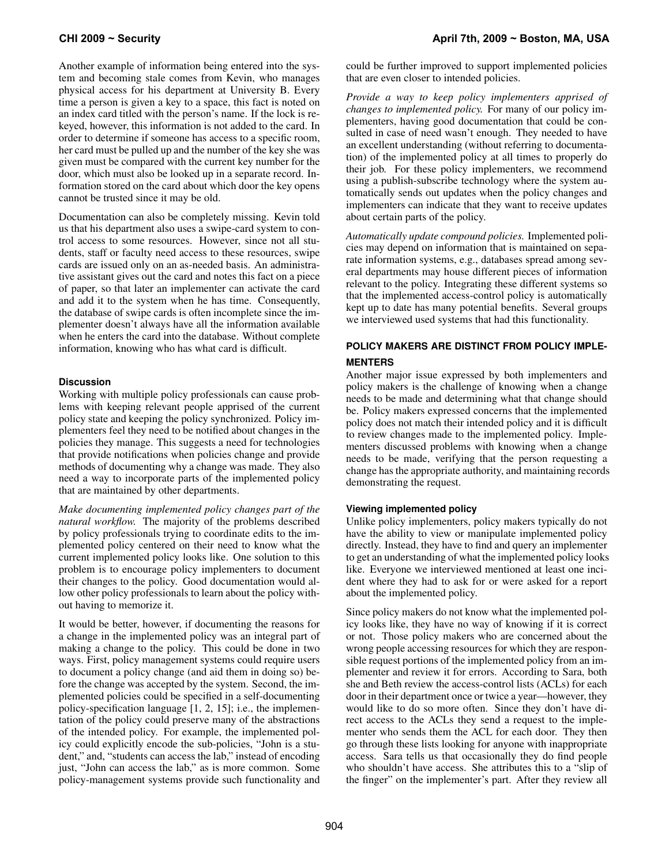Another example of information being entered into the system and becoming stale comes from Kevin, who manages physical access for his department at University B. Every time a person is given a key to a space, this fact is noted on an index card titled with the person's name. If the lock is rekeyed, however, this information is not added to the card. In order to determine if someone has access to a specific room, her card must be pulled up and the number of the key she was given must be compared with the current key number for the door, which must also be looked up in a separate record. Information stored on the card about which door the key opens cannot be trusted since it may be old.

Documentation can also be completely missing. Kevin told us that his department also uses a swipe-card system to control access to some resources. However, since not all students, staff or faculty need access to these resources, swipe cards are issued only on an as-needed basis. An administrative assistant gives out the card and notes this fact on a piece of paper, so that later an implementer can activate the card and add it to the system when he has time. Consequently, the database of swipe cards is often incomplete since the implementer doesn't always have all the information available when he enters the card into the database. Without complete information, knowing who has what card is difficult.

# **Discussion**

Working with multiple policy professionals can cause problems with keeping relevant people apprised of the current policy state and keeping the policy synchronized. Policy implementers feel they need to be notified about changes in the policies they manage. This suggests a need for technologies that provide notifications when policies change and provide methods of documenting why a change was made. They also need a way to incorporate parts of the implemented policy that are maintained by other departments.

*Make documenting implemented policy changes part of the natural workflow.* The majority of the problems described by policy professionals trying to coordinate edits to the implemented policy centered on their need to know what the current implemented policy looks like. One solution to this problem is to encourage policy implementers to document their changes to the policy. Good documentation would allow other policy professionals to learn about the policy without having to memorize it.

It would be better, however, if documenting the reasons for a change in the implemented policy was an integral part of making a change to the policy. This could be done in two ways. First, policy management systems could require users to document a policy change (and aid them in doing so) before the change was accepted by the system. Second, the implemented policies could be specified in a self-documenting policy-specification language [1, 2, 15]; i.e., the implementation of the policy could preserve many of the abstractions of the intended policy. For example, the implemented policy could explicitly encode the sub-policies, "John is a student," and, "students can access the lab," instead of encoding just, "John can access the lab," as is more common. Some policy-management systems provide such functionality and could be further improved to support implemented policies that are even closer to intended policies.

*Provide a way to keep policy implementers apprised of changes to implemented policy.* For many of our policy implementers, having good documentation that could be consulted in case of need wasn't enough. They needed to have an excellent understanding (without referring to documentation) of the implemented policy at all times to properly do their job. For these policy implementers, we recommend using a publish-subscribe technology where the system automatically sends out updates when the policy changes and implementers can indicate that they want to receive updates about certain parts of the policy.

*Automatically update compound policies.* Implemented policies may depend on information that is maintained on separate information systems, e.g., databases spread among several departments may house different pieces of information relevant to the policy. Integrating these different systems so that the implemented access-control policy is automatically kept up to date has many potential benefits. Several groups we interviewed used systems that had this functionality.

# **POLICY MAKERS ARE DISTINCT FROM POLICY IMPLE-MENTERS**

Another major issue expressed by both implementers and policy makers is the challenge of knowing when a change needs to be made and determining what that change should be. Policy makers expressed concerns that the implemented policy does not match their intended policy and it is difficult to review changes made to the implemented policy. Implementers discussed problems with knowing when a change needs to be made, verifying that the person requesting a change has the appropriate authority, and maintaining records demonstrating the request.

#### **Viewing implemented policy**

Unlike policy implementers, policy makers typically do not have the ability to view or manipulate implemented policy directly. Instead, they have to find and query an implementer to get an understanding of what the implemented policy looks like. Everyone we interviewed mentioned at least one incident where they had to ask for or were asked for a report about the implemented policy.

Since policy makers do not know what the implemented policy looks like, they have no way of knowing if it is correct or not. Those policy makers who are concerned about the wrong people accessing resources for which they are responsible request portions of the implemented policy from an implementer and review it for errors. According to Sara, both she and Beth review the access-control lists (ACLs) for each door in their department once or twice a year—however, they would like to do so more often. Since they don't have direct access to the ACLs they send a request to the implementer who sends them the ACL for each door. They then go through these lists looking for anyone with inappropriate access. Sara tells us that occasionally they do find people who shouldn't have access. She attributes this to a "slip of the finger" on the implementer's part. After they review all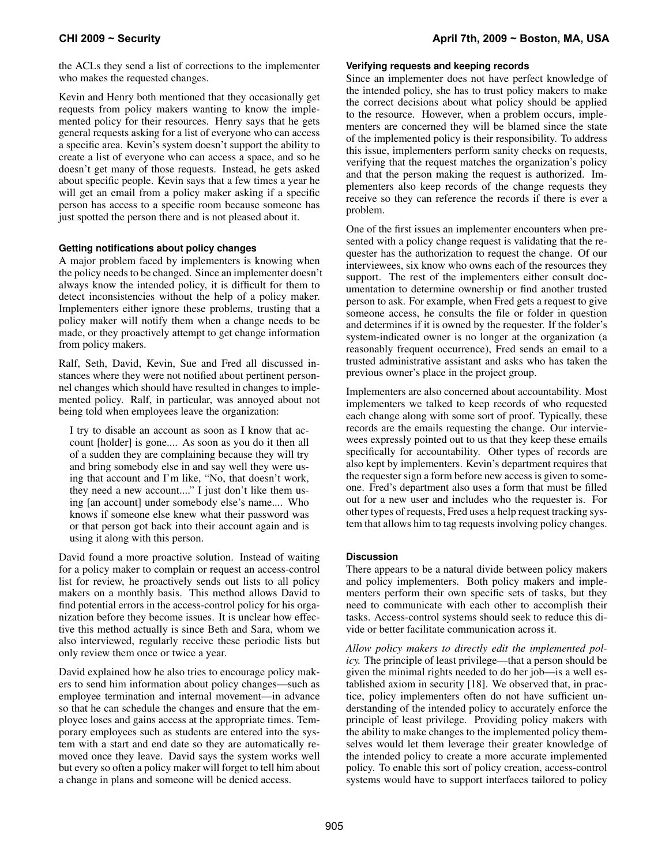the ACLs they send a list of corrections to the implementer who makes the requested changes.

Kevin and Henry both mentioned that they occasionally get requests from policy makers wanting to know the implemented policy for their resources. Henry says that he gets general requests asking for a list of everyone who can access a specific area. Kevin's system doesn't support the ability to create a list of everyone who can access a space, and so he doesn't get many of those requests. Instead, he gets asked about specific people. Kevin says that a few times a year he will get an email from a policy maker asking if a specific person has access to a specific room because someone has just spotted the person there and is not pleased about it.

# **Getting notifications about policy changes**

A major problem faced by implementers is knowing when the policy needs to be changed. Since an implementer doesn't always know the intended policy, it is difficult for them to detect inconsistencies without the help of a policy maker. Implementers either ignore these problems, trusting that a policy maker will notify them when a change needs to be made, or they proactively attempt to get change information from policy makers.

Ralf, Seth, David, Kevin, Sue and Fred all discussed instances where they were not notified about pertinent personnel changes which should have resulted in changes to implemented policy. Ralf, in particular, was annoyed about not being told when employees leave the organization:

I try to disable an account as soon as I know that account [holder] is gone.... As soon as you do it then all of a sudden they are complaining because they will try and bring somebody else in and say well they were using that account and I'm like, "No, that doesn't work, they need a new account...." I just don't like them using [an account] under somebody else's name.... Who knows if someone else knew what their password was or that person got back into their account again and is using it along with this person.

David found a more proactive solution. Instead of waiting for a policy maker to complain or request an access-control list for review, he proactively sends out lists to all policy makers on a monthly basis. This method allows David to find potential errors in the access-control policy for his organization before they become issues. It is unclear how effective this method actually is since Beth and Sara, whom we also interviewed, regularly receive these periodic lists but only review them once or twice a year.

David explained how he also tries to encourage policy makers to send him information about policy changes—such as employee termination and internal movement—in advance so that he can schedule the changes and ensure that the employee loses and gains access at the appropriate times. Temporary employees such as students are entered into the system with a start and end date so they are automatically removed once they leave. David says the system works well but every so often a policy maker will forget to tell him about a change in plans and someone will be denied access.

# **Verifying requests and keeping records**

Since an implementer does not have perfect knowledge of the intended policy, she has to trust policy makers to make the correct decisions about what policy should be applied to the resource. However, when a problem occurs, implementers are concerned they will be blamed since the state of the implemented policy is their responsibility. To address this issue, implementers perform sanity checks on requests, verifying that the request matches the organization's policy and that the person making the request is authorized. Implementers also keep records of the change requests they receive so they can reference the records if there is ever a problem.

One of the first issues an implementer encounters when presented with a policy change request is validating that the requester has the authorization to request the change. Of our interviewees, six know who owns each of the resources they support. The rest of the implementers either consult documentation to determine ownership or find another trusted person to ask. For example, when Fred gets a request to give someone access, he consults the file or folder in question and determines if it is owned by the requester. If the folder's system-indicated owner is no longer at the organization (a reasonably frequent occurrence), Fred sends an email to a trusted administrative assistant and asks who has taken the previous owner's place in the project group.

Implementers are also concerned about accountability. Most implementers we talked to keep records of who requested each change along with some sort of proof. Typically, these records are the emails requesting the change. Our interviewees expressly pointed out to us that they keep these emails specifically for accountability. Other types of records are also kept by implementers. Kevin's department requires that the requester sign a form before new access is given to someone. Fred's department also uses a form that must be filled out for a new user and includes who the requester is. For other types of requests, Fred uses a help request tracking system that allows him to tag requests involving policy changes.

# **Discussion**

There appears to be a natural divide between policy makers and policy implementers. Both policy makers and implementers perform their own specific sets of tasks, but they need to communicate with each other to accomplish their tasks. Access-control systems should seek to reduce this divide or better facilitate communication across it.

*Allow policy makers to directly edit the implemented policy.* The principle of least privilege—that a person should be given the minimal rights needed to do her job—is a well established axiom in security [18]. We observed that, in practice, policy implementers often do not have sufficient understanding of the intended policy to accurately enforce the principle of least privilege. Providing policy makers with the ability to make changes to the implemented policy themselves would let them leverage their greater knowledge of the intended policy to create a more accurate implemented policy. To enable this sort of policy creation, access-control systems would have to support interfaces tailored to policy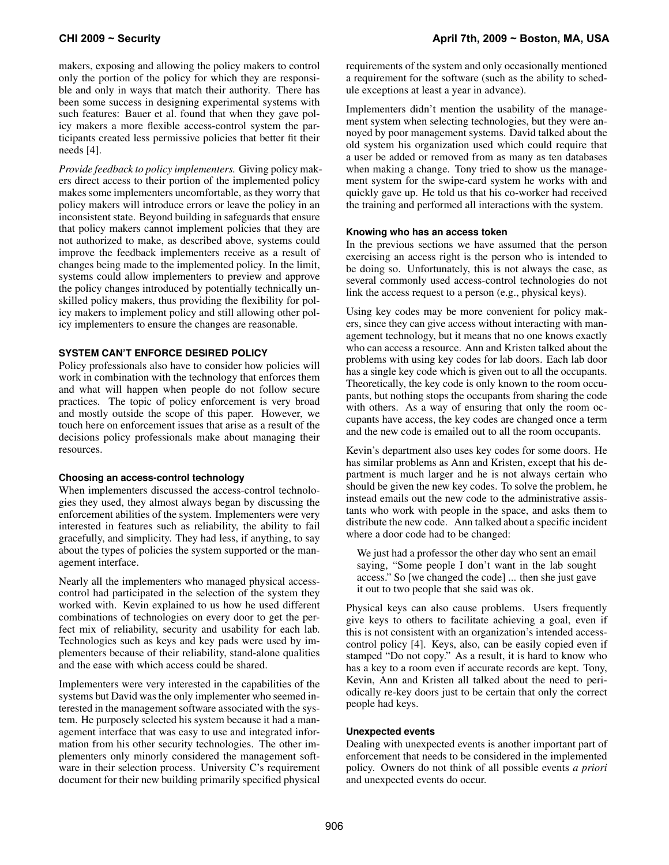makers, exposing and allowing the policy makers to control only the portion of the policy for which they are responsible and only in ways that match their authority. There has been some success in designing experimental systems with such features: Bauer et al. found that when they gave policy makers a more flexible access-control system the participants created less permissive policies that better fit their needs [4].

*Provide feedback to policy implementers.* Giving policy makers direct access to their portion of the implemented policy makes some implementers uncomfortable, as they worry that policy makers will introduce errors or leave the policy in an inconsistent state. Beyond building in safeguards that ensure that policy makers cannot implement policies that they are not authorized to make, as described above, systems could improve the feedback implementers receive as a result of changes being made to the implemented policy. In the limit, systems could allow implementers to preview and approve the policy changes introduced by potentially technically unskilled policy makers, thus providing the flexibility for policy makers to implement policy and still allowing other policy implementers to ensure the changes are reasonable.

## **SYSTEM CAN'T ENFORCE DESIRED POLICY**

Policy professionals also have to consider how policies will work in combination with the technology that enforces them and what will happen when people do not follow secure practices. The topic of policy enforcement is very broad and mostly outside the scope of this paper. However, we touch here on enforcement issues that arise as a result of the decisions policy professionals make about managing their resources.

#### **Choosing an access-control technology**

When implementers discussed the access-control technologies they used, they almost always began by discussing the enforcement abilities of the system. Implementers were very interested in features such as reliability, the ability to fail gracefully, and simplicity. They had less, if anything, to say about the types of policies the system supported or the management interface.

Nearly all the implementers who managed physical accesscontrol had participated in the selection of the system they worked with. Kevin explained to us how he used different combinations of technologies on every door to get the perfect mix of reliability, security and usability for each lab. Technologies such as keys and key pads were used by implementers because of their reliability, stand-alone qualities and the ease with which access could be shared.

Implementers were very interested in the capabilities of the systems but David was the only implementer who seemed interested in the management software associated with the system. He purposely selected his system because it had a management interface that was easy to use and integrated information from his other security technologies. The other implementers only minorly considered the management software in their selection process. University C's requirement document for their new building primarily specified physical requirements of the system and only occasionally mentioned a requirement for the software (such as the ability to schedule exceptions at least a year in advance).

Implementers didn't mention the usability of the management system when selecting technologies, but they were annoyed by poor management systems. David talked about the old system his organization used which could require that a user be added or removed from as many as ten databases when making a change. Tony tried to show us the management system for the swipe-card system he works with and quickly gave up. He told us that his co-worker had received the training and performed all interactions with the system.

#### **Knowing who has an access token**

In the previous sections we have assumed that the person exercising an access right is the person who is intended to be doing so. Unfortunately, this is not always the case, as several commonly used access-control technologies do not link the access request to a person (e.g., physical keys).

Using key codes may be more convenient for policy makers, since they can give access without interacting with management technology, but it means that no one knows exactly who can access a resource. Ann and Kristen talked about the problems with using key codes for lab doors. Each lab door has a single key code which is given out to all the occupants. Theoretically, the key code is only known to the room occupants, but nothing stops the occupants from sharing the code with others. As a way of ensuring that only the room occupants have access, the key codes are changed once a term and the new code is emailed out to all the room occupants.

Kevin's department also uses key codes for some doors. He has similar problems as Ann and Kristen, except that his department is much larger and he is not always certain who should be given the new key codes. To solve the problem, he instead emails out the new code to the administrative assistants who work with people in the space, and asks them to distribute the new code. Ann talked about a specific incident where a door code had to be changed:

We just had a professor the other day who sent an email saying, "Some people I don't want in the lab sought access." So [we changed the code] ... then she just gave it out to two people that she said was ok.

Physical keys can also cause problems. Users frequently give keys to others to facilitate achieving a goal, even if this is not consistent with an organization's intended accesscontrol policy [4]. Keys, also, can be easily copied even if stamped "Do not copy." As a result, it is hard to know who has a key to a room even if accurate records are kept. Tony, Kevin, Ann and Kristen all talked about the need to periodically re-key doors just to be certain that only the correct people had keys.

#### **Unexpected events**

Dealing with unexpected events is another important part of enforcement that needs to be considered in the implemented policy. Owners do not think of all possible events *a priori* and unexpected events do occur.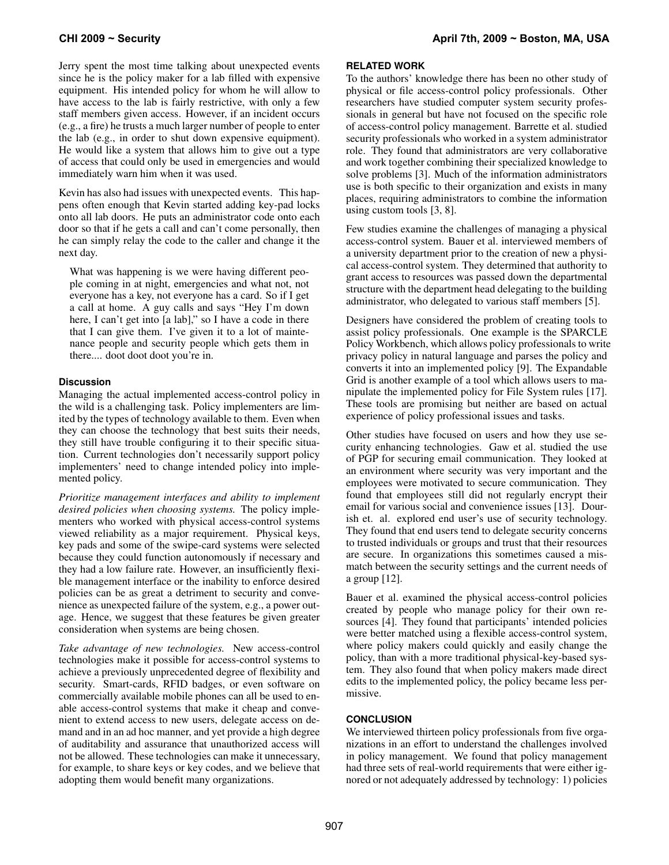Jerry spent the most time talking about unexpected events since he is the policy maker for a lab filled with expensive equipment. His intended policy for whom he will allow to have access to the lab is fairly restrictive, with only a few staff members given access. However, if an incident occurs (e.g., a fire) he trusts a much larger number of people to enter the lab (e.g., in order to shut down expensive equipment). He would like a system that allows him to give out a type of access that could only be used in emergencies and would immediately warn him when it was used.

Kevin has also had issues with unexpected events. This happens often enough that Kevin started adding key-pad locks onto all lab doors. He puts an administrator code onto each door so that if he gets a call and can't come personally, then he can simply relay the code to the caller and change it the next day.

What was happening is we were having different people coming in at night, emergencies and what not, not everyone has a key, not everyone has a card. So if I get a call at home. A guy calls and says "Hey I'm down here, I can't get into [a lab]," so I have a code in there that I can give them. I've given it to a lot of maintenance people and security people which gets them in there.... doot doot doot you're in.

# **Discussion**

Managing the actual implemented access-control policy in the wild is a challenging task. Policy implementers are limited by the types of technology available to them. Even when they can choose the technology that best suits their needs, they still have trouble configuring it to their specific situation. Current technologies don't necessarily support policy implementers' need to change intended policy into implemented policy.

*Prioritize management interfaces and ability to implement desired policies when choosing systems.* The policy implementers who worked with physical access-control systems viewed reliability as a major requirement. Physical keys, key pads and some of the swipe-card systems were selected because they could function autonomously if necessary and they had a low failure rate. However, an insufficiently flexible management interface or the inability to enforce desired policies can be as great a detriment to security and convenience as unexpected failure of the system, e.g., a power outage. Hence, we suggest that these features be given greater consideration when systems are being chosen.

*Take advantage of new technologies.* New access-control technologies make it possible for access-control systems to achieve a previously unprecedented degree of flexibility and security. Smart-cards, RFID badges, or even software on commercially available mobile phones can all be used to enable access-control systems that make it cheap and convenient to extend access to new users, delegate access on demand and in an ad hoc manner, and yet provide a high degree of auditability and assurance that unauthorized access will not be allowed. These technologies can make it unnecessary, for example, to share keys or key codes, and we believe that adopting them would benefit many organizations.

## **RELATED WORK**

To the authors' knowledge there has been no other study of physical or file access-control policy professionals. Other researchers have studied computer system security professionals in general but have not focused on the specific role of access-control policy management. Barrette et al. studied security professionals who worked in a system administrator role. They found that administrators are very collaborative and work together combining their specialized knowledge to solve problems [3]. Much of the information administrators use is both specific to their organization and exists in many places, requiring administrators to combine the information using custom tools [3, 8].

Few studies examine the challenges of managing a physical access-control system. Bauer et al. interviewed members of a university department prior to the creation of new a physical access-control system. They determined that authority to grant access to resources was passed down the departmental structure with the department head delegating to the building administrator, who delegated to various staff members [5].

Designers have considered the problem of creating tools to assist policy professionals. One example is the SPARCLE Policy Workbench, which allows policy professionals to write privacy policy in natural language and parses the policy and converts it into an implemented policy [9]. The Expandable Grid is another example of a tool which allows users to manipulate the implemented policy for File System rules [17]. These tools are promising but neither are based on actual experience of policy professional issues and tasks.

Other studies have focused on users and how they use security enhancing technologies. Gaw et al. studied the use of PGP for securing email communication. They looked at an environment where security was very important and the employees were motivated to secure communication. They found that employees still did not regularly encrypt their email for various social and convenience issues [13]. Dourish et. al. explored end user's use of security technology. They found that end users tend to delegate security concerns to trusted individuals or groups and trust that their resources are secure. In organizations this sometimes caused a mismatch between the security settings and the current needs of a group [12].

Bauer et al. examined the physical access-control policies created by people who manage policy for their own resources [4]. They found that participants' intended policies were better matched using a flexible access-control system, where policy makers could quickly and easily change the policy, than with a more traditional physical-key-based system. They also found that when policy makers made direct edits to the implemented policy, the policy became less permissive.

# **CONCLUSION**

We interviewed thirteen policy professionals from five organizations in an effort to understand the challenges involved in policy management. We found that policy management had three sets of real-world requirements that were either ignored or not adequately addressed by technology: 1) policies